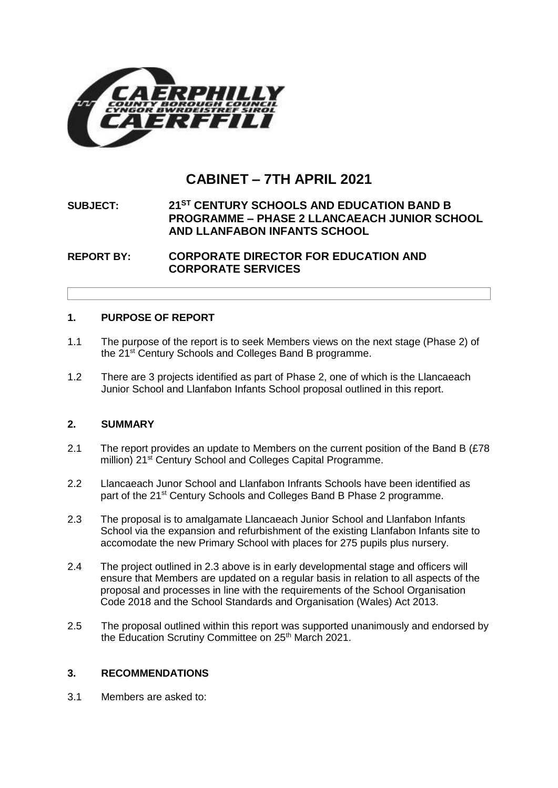

# **CABINET – 7TH APRIL 2021**

# **SUBJECT: 21ST CENTURY SCHOOLS AND EDUCATION BAND B PROGRAMME – PHASE 2 LLANCAEACH JUNIOR SCHOOL AND LLANFABON INFANTS SCHOOL**

**REPORT BY: CORPORATE DIRECTOR FOR EDUCATION AND CORPORATE SERVICES**

## **1. PURPOSE OF REPORT**

- 1.1 The purpose of the report is to seek Members views on the next stage (Phase 2) of the 21st Century Schools and Colleges Band B programme.
- 1.2 There are 3 projects identified as part of Phase 2, one of which is the Llancaeach Junior School and Llanfabon Infants School proposal outlined in this report.

## **2. SUMMARY**

- 2.1 The report provides an update to Members on the current position of the Band B (£78) million) 21<sup>st</sup> Century School and Colleges Capital Programme.
- 2.2 Llancaeach Junor School and Llanfabon Infrants Schools have been identified as part of the 21<sup>st</sup> Century Schools and Colleges Band B Phase 2 programme.
- 2.3 The proposal is to amalgamate Llancaeach Junior School and Llanfabon Infants School via the expansion and refurbishment of the existing Llanfabon Infants site to accomodate the new Primary School with places for 275 pupils plus nursery.
- 2.4 The project outlined in 2.3 above is in early developmental stage and officers will ensure that Members are updated on a regular basis in relation to all aspects of the proposal and processes in line with the requirements of the School Organisation Code 2018 and the School Standards and Organisation (Wales) Act 2013.
- 2.5 The proposal outlined within this report was supported unanimously and endorsed by the Education Scrutiny Committee on 25<sup>th</sup> March 2021.

## **3. RECOMMENDATIONS**

3.1 Members are asked to: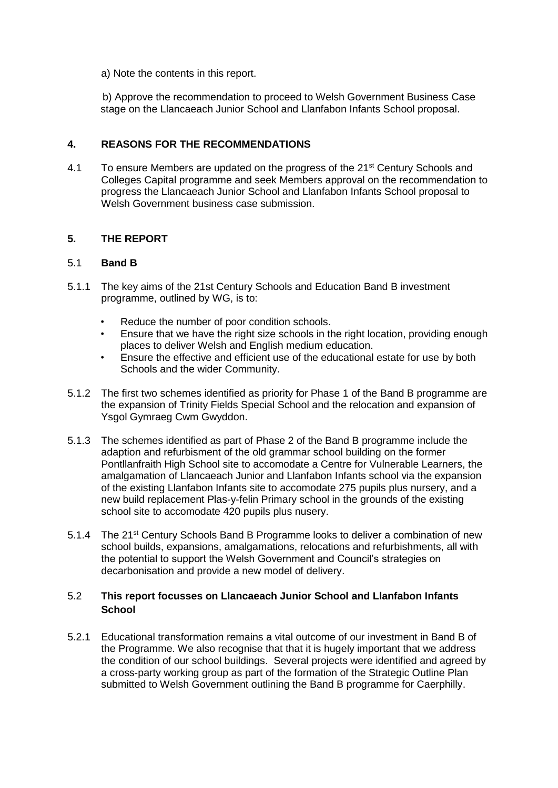a) Note the contents in this report.

 b) Approve the recommendation to proceed to Welsh Government Business Case stage on the Llancaeach Junior School and Llanfabon Infants School proposal.

## **4. REASONS FOR THE RECOMMENDATIONS**

4.1 To ensure Members are updated on the progress of the 21<sup>st</sup> Century Schools and Colleges Capital programme and seek Members approval on the recommendation to progress the Llancaeach Junior School and Llanfabon Infants School proposal to Welsh Government business case submission.

## **5. THE REPORT**

## 5.1 **Band B**

- 5.1.1 The key aims of the 21st Century Schools and Education Band B investment programme, outlined by WG, is to:
	- Reduce the number of poor condition schools.
	- Ensure that we have the right size schools in the right location, providing enough places to deliver Welsh and English medium education.
	- Ensure the effective and efficient use of the educational estate for use by both Schools and the wider Community.
- 5.1.2 The first two schemes identified as priority for Phase 1 of the Band B programme are the expansion of Trinity Fields Special School and the relocation and expansion of Ysgol Gymraeg Cwm Gwyddon.
- 5.1.3 The schemes identified as part of Phase 2 of the Band B programme include the adaption and refurbisment of the old grammar school building on the former Pontllanfraith High School site to accomodate a Centre for Vulnerable Learners, the amalgamation of Llancaeach Junior and Llanfabon Infants school via the expansion of the existing Llanfabon Infants site to accomodate 275 pupils plus nursery, and a new build replacement Plas-y-felin Primary school in the grounds of the existing school site to accomodate 420 pupils plus nusery.
- 5.1.4 The 21<sup>st</sup> Century Schools Band B Programme looks to deliver a combination of new school builds, expansions, amalgamations, relocations and refurbishments, all with the potential to support the Welsh Government and Council's strategies on decarbonisation and provide a new model of delivery.

## 5.2 **This report focusses on Llancaeach Junior School and Llanfabon Infants School**

5.2.1 Educational transformation remains a vital outcome of our investment in Band B of the Programme. We also recognise that that it is hugely important that we address the condition of our school buildings. Several projects were identified and agreed by a cross-party working group as part of the formation of the Strategic Outline Plan submitted to Welsh Government outlining the Band B programme for Caerphilly.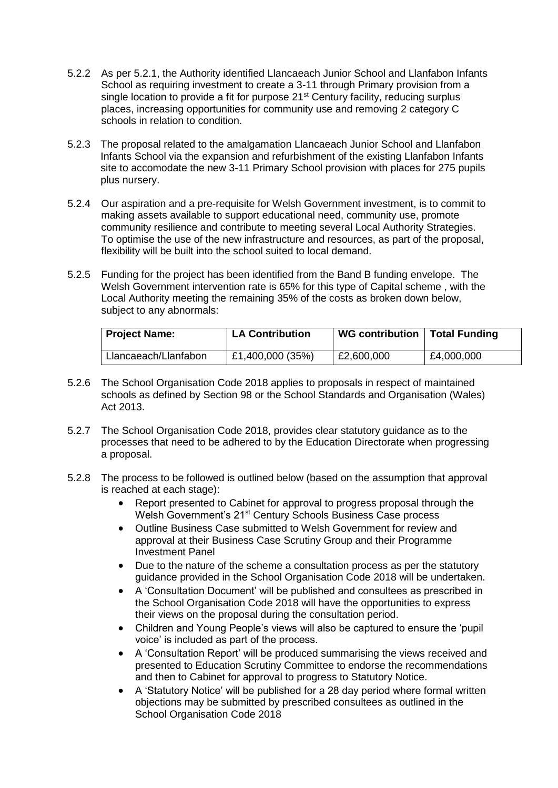- 5.2.2 As per 5.2.1, the Authority identified Llancaeach Junior School and Llanfabon Infants School as requiring investment to create a 3-11 through Primary provision from a single location to provide a fit for purpose 21<sup>st</sup> Century facility, reducing surplus places, increasing opportunities for community use and removing 2 category C schools in relation to condition.
- 5.2.3 The proposal related to the amalgamation Llancaeach Junior School and Llanfabon Infants School via the expansion and refurbishment of the existing Llanfabon Infants site to accomodate the new 3-11 Primary School provision with places for 275 pupils plus nursery.
- 5.2.4 Our aspiration and a pre-requisite for Welsh Government investment, is to commit to making assets available to support educational need, community use, promote community resilience and contribute to meeting several Local Authority Strategies. To optimise the use of the new infrastructure and resources, as part of the proposal, flexibility will be built into the school suited to local demand.
- 5.2.5 Funding for the project has been identified from the Band B funding envelope. The Welsh Government intervention rate is 65% for this type of Capital scheme , with the Local Authority meeting the remaining 35% of the costs as broken down below, subject to any abnormals:

| <b>Project Name:</b> | <b>LA Contribution</b> | WG contribution   Total Funding |            |
|----------------------|------------------------|---------------------------------|------------|
| Llancaeach/Llanfabon | £1,400,000 (35%)       | £2,600,000                      | £4,000,000 |

- 5.2.6 The School Organisation Code 2018 applies to proposals in respect of maintained schools as defined by Section 98 or the School Standards and Organisation (Wales) Act 2013.
- 5.2.7 The School Organisation Code 2018, provides clear statutory guidance as to the processes that need to be adhered to by the Education Directorate when progressing a proposal.
- 5.2.8 The process to be followed is outlined below (based on the assumption that approval is reached at each stage):
	- Report presented to Cabinet for approval to progress proposal through the Welsh Government's 21<sup>st</sup> Century Schools Business Case process
	- Outline Business Case submitted to Welsh Government for review and approval at their Business Case Scrutiny Group and their Programme Investment Panel
	- Due to the nature of the scheme a consultation process as per the statutory guidance provided in the School Organisation Code 2018 will be undertaken.
	- A 'Consultation Document' will be published and consultees as prescribed in the School Organisation Code 2018 will have the opportunities to express their views on the proposal during the consultation period.
	- Children and Young People's views will also be captured to ensure the 'pupil voice' is included as part of the process.
	- A 'Consultation Report' will be produced summarising the views received and presented to Education Scrutiny Committee to endorse the recommendations and then to Cabinet for approval to progress to Statutory Notice.
	- A 'Statutory Notice' will be published for a 28 day period where formal written objections may be submitted by prescribed consultees as outlined in the School Organisation Code 2018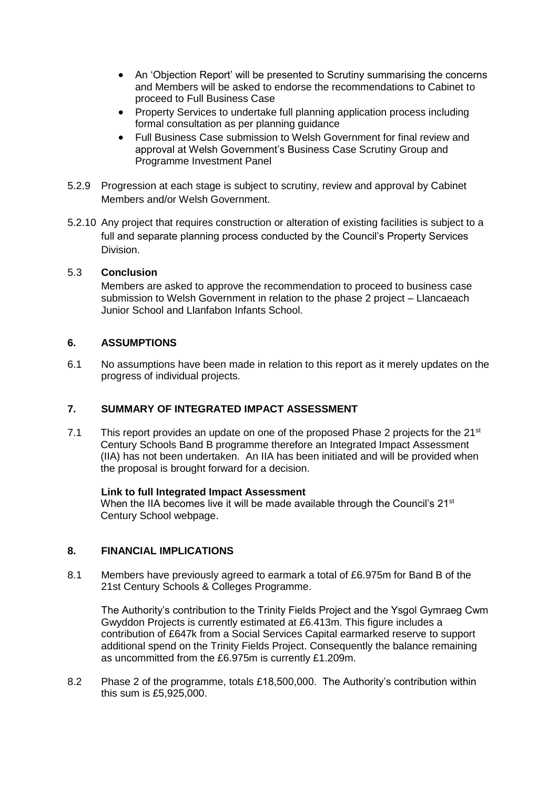- An 'Objection Report' will be presented to Scrutiny summarising the concerns and Members will be asked to endorse the recommendations to Cabinet to proceed to Full Business Case
- Property Services to undertake full planning application process including formal consultation as per planning guidance
- Full Business Case submission to Welsh Government for final review and approval at Welsh Government's Business Case Scrutiny Group and Programme Investment Panel
- 5.2.9 Progression at each stage is subject to scrutiny, review and approval by Cabinet Members and/or Welsh Government.
- 5.2.10 Any project that requires construction or alteration of existing facilities is subject to a full and separate planning process conducted by the Council's Property Services Division.

## 5.3 **Conclusion**

Members are asked to approve the recommendation to proceed to business case submission to Welsh Government in relation to the phase 2 project – Llancaeach Junior School and Llanfabon Infants School.

## **6. ASSUMPTIONS**

6.1 No assumptions have been made in relation to this report as it merely updates on the progress of individual projects.

# **7. SUMMARY OF INTEGRATED IMPACT ASSESSMENT**

7.1 This report provides an update on one of the proposed Phase 2 projects for the  $21^{st}$ Century Schools Band B programme therefore an Integrated Impact Assessment (IIA) has not been undertaken. An IIA has been initiated and will be provided when the proposal is brought forward for a decision.

## **Link to full Integrated Impact Assessment**

When the IIA becomes live it will be made available through the Council's  $21<sup>st</sup>$ Century School webpage.

## **8. FINANCIAL IMPLICATIONS**

8.1 Members have previously agreed to earmark a total of £6.975m for Band B of the 21st Century Schools & Colleges Programme.

The Authority's contribution to the Trinity Fields Project and the Ysgol Gymraeg Cwm Gwyddon Projects is currently estimated at £6.413m. This figure includes a contribution of £647k from a Social Services Capital earmarked reserve to support additional spend on the Trinity Fields Project. Consequently the balance remaining as uncommitted from the £6.975m is currently £1.209m.

8.2 Phase 2 of the programme, totals £18,500,000. The Authority's contribution within this sum is £5,925,000.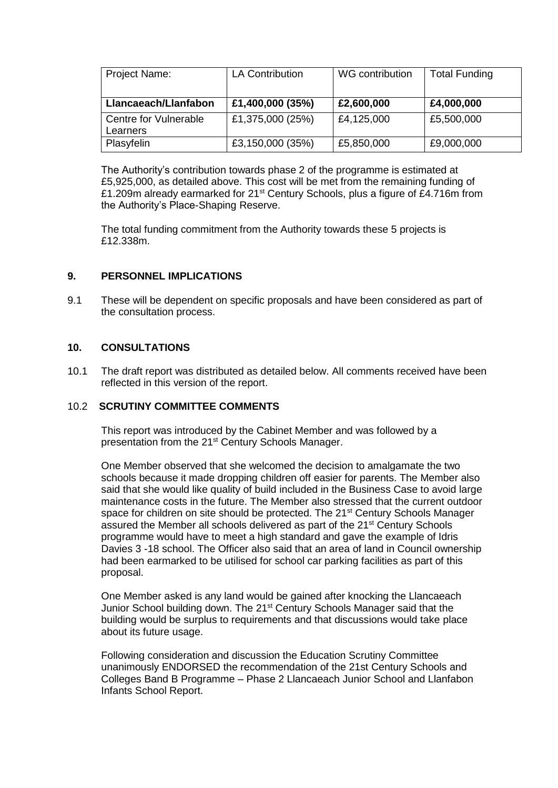| Project Name:         | <b>LA Contribution</b> | WG contribution | <b>Total Funding</b> |
|-----------------------|------------------------|-----------------|----------------------|
|                       |                        |                 |                      |
| Llancaeach/Llanfabon  | £1,400,000 (35%)       | £2,600,000      | £4,000,000           |
| Centre for Vulnerable | £1,375,000 (25%)       | £4,125,000      | £5,500,000           |
| Learners              |                        |                 |                      |
| Plasyfelin            | £3,150,000 (35%)       | £5,850,000      | £9,000,000           |

The Authority's contribution towards phase 2 of the programme is estimated at £5,925,000, as detailed above. This cost will be met from the remaining funding of £1.209m already earmarked for 21st Century Schools, plus a figure of £4.716m from the Authority's Place-Shaping Reserve.

The total funding commitment from the Authority towards these 5 projects is £12.338m.

## **9. PERSONNEL IMPLICATIONS**

9.1 These will be dependent on specific proposals and have been considered as part of the consultation process.

## **10. CONSULTATIONS**

10.1 The draft report was distributed as detailed below. All comments received have been reflected in this version of the report.

## 10.2 **SCRUTINY COMMITTEE COMMENTS**

This report was introduced by the Cabinet Member and was followed by a presentation from the 21<sup>st</sup> Century Schools Manager.

One Member observed that she welcomed the decision to amalgamate the two schools because it made dropping children off easier for parents. The Member also said that she would like quality of build included in the Business Case to avoid large maintenance costs in the future. The Member also stressed that the current outdoor space for children on site should be protected. The 21<sup>st</sup> Century Schools Manager assured the Member all schools delivered as part of the 21<sup>st</sup> Century Schools programme would have to meet a high standard and gave the example of Idris Davies 3 -18 school. The Officer also said that an area of land in Council ownership had been earmarked to be utilised for school car parking facilities as part of this proposal.

One Member asked is any land would be gained after knocking the Llancaeach Junior School building down. The 21<sup>st</sup> Century Schools Manager said that the building would be surplus to requirements and that discussions would take place about its future usage.

Following consideration and discussion the Education Scrutiny Committee unanimously ENDORSED the recommendation of the 21st Century Schools and Colleges Band B Programme – Phase 2 Llancaeach Junior School and Llanfabon Infants School Report.